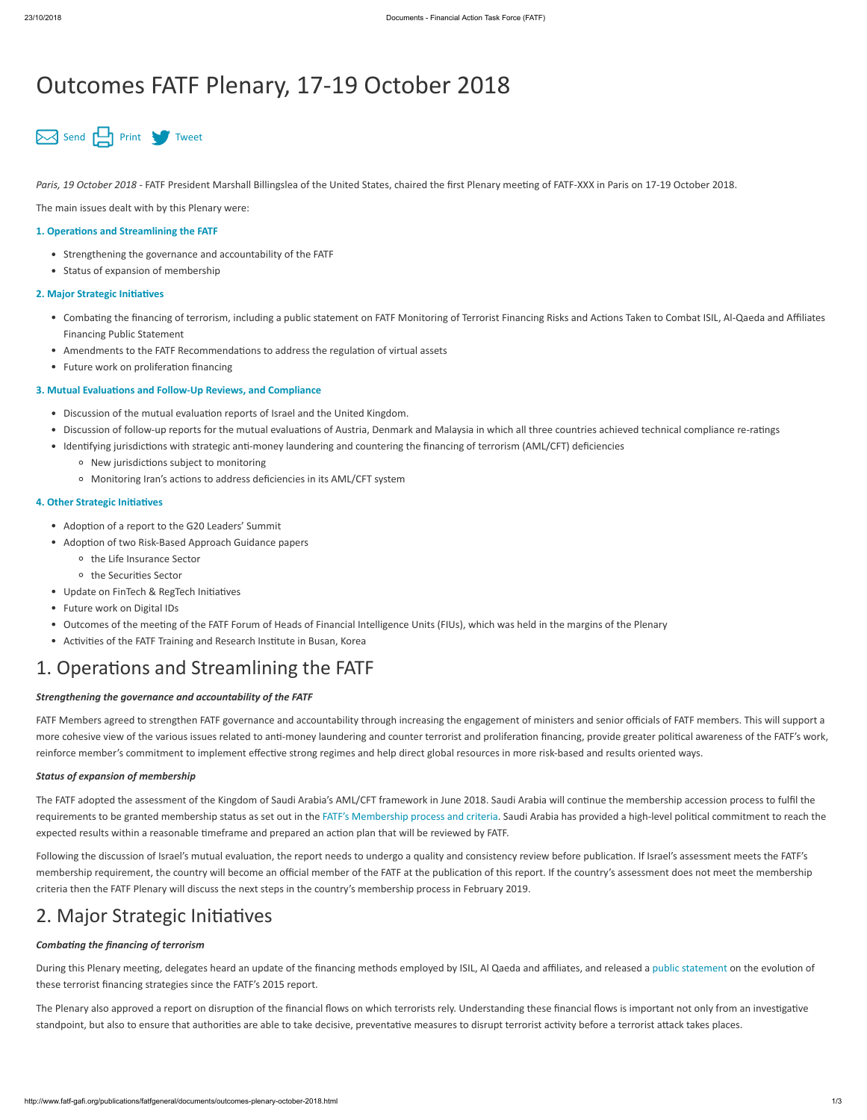# Outcomes FATF Plenary, 17-19 October 2018



Paris, 19 October 2018 - FATF President Marshall Billingslea of the United States, chaired the first Plenary meeting of FATF-XXX in Paris on 17-19 October 2018.

The main issues dealt with by this Plenary were:

#### **1. Operations and Streamlining the FATF**

- Strengthening the governance and accountability of the FATF
- Status of expansion of membership

#### **2. Major Strategic Initiatives**

- Combating the financing of terrorism, including a public statement on FATF Monitoring of Terrorist Financing Risks and Actions Taken to Combat ISIL, Al-Qaeda and Affiliates Financing Public Statement
- Amendments to the FATF Recommendations to address the regulation of virtual assets
- Future work on proliferation financing

#### **3. Mutual Evaluations and Follow-Up Reviews, and Compliance**

- Discussion of the mutual evaluation reports of Israel and the United Kingdom.
- Discussion of follow-up reports for the mutual evaluations of Austria, Denmark and Malaysia in which all three countries achieved technical compliance re-ratings  $\bullet$
- Identifying jurisdictions with strategic anti-money laundering and countering the financing of terrorism (AML/CFT) deficiencies
	- <sup>o</sup> New jurisdictions subject to monitoring
	- <sup>o</sup> Monitoring Iran's actions to address deficiencies in its AML/CFT system

#### **4. Other Strategic Initiatives**

- Adoption of a report to the G20 Leaders' Summit
- Adoption of two Risk-Based Approach Guidance papers
	- o the Life Insurance Sector
	- <sup>o</sup> the Securities Sector
- Update on FinTech & RegTech Initiatives
- Future work on Digital IDs
- Outcomes of the meeting of the FATF Forum of Heads of Financial Intelligence Units (FIUs), which was held in the margins of the Plenary
- Activities of the FATF Training and Research Institute in Busan, Korea

## <span id="page-0-0"></span>1. Operations and Streamlining the FATF

FATF Members agreed to strengthen FATF governance and accountability through increasing the engagement of ministers and senior officials of FATF members. This will support a more cohesive view of the various issues related to anti-money laundering and counter terrorist and proliferation financing, provide greater political awareness of the FATF's work, reinforce member's commitment to implement effective strong regimes and help direct global resources in more risk-based and results oriented ways.

Following the discussion of Israel's mutual evaluation, the report needs to undergo a quality and consistency review before publication. If Israel's assessment meets the FATF's membership requirement, the country will become an official member of the FATF at the publication of this report. If the country's assessment does not meet the membership criteria then the FATF Plenary will discuss the next steps in the country's membership process in February 2019.

### <span id="page-0-1"></span>2. Major Strategic Initiatives

#### **Combating the financing of terrorism**

During this Plenary meeting, delegates heard an update of the financing methods employed by ISIL, AI Qaeda and affiliates, and released a [public statement](http://www.fatf-gafi.org/publications/methodsandtrends/documents/isil-alqaeda-affiliates-financing-update.html) on the evolution of these terrorist financing strategies since the FATF's 2015 report.

The Plenary also approved a report on disruption of the financial flows on which terrorists rely. Understanding these financial flows is important not only from an investigative standpoint, but also to ensure that authorities are able to take decisive, preventative measures to disrupt terrorist activity before a terrorist attack takes places.

#### *Strengthening the governance and accountability of the FATF*

#### *Status of expansion of membership*

The FATF adopted the assessment of the Kingdom of Saudi Arabia's AML/CFT framework in June 2018. Saudi Arabia will continue the membership accession process to fulfil the requirements to be granted membership status as set out in the [FATF's Membership process and criteria](http://www.fatf-gafi.org/about/membersandobservers/fatfmembershippolicy.html). Saudi Arabia has provided a high-level political commitment to reach the expected results within a reasonable timeframe and prepared an action plan that will be reviewed by FATF.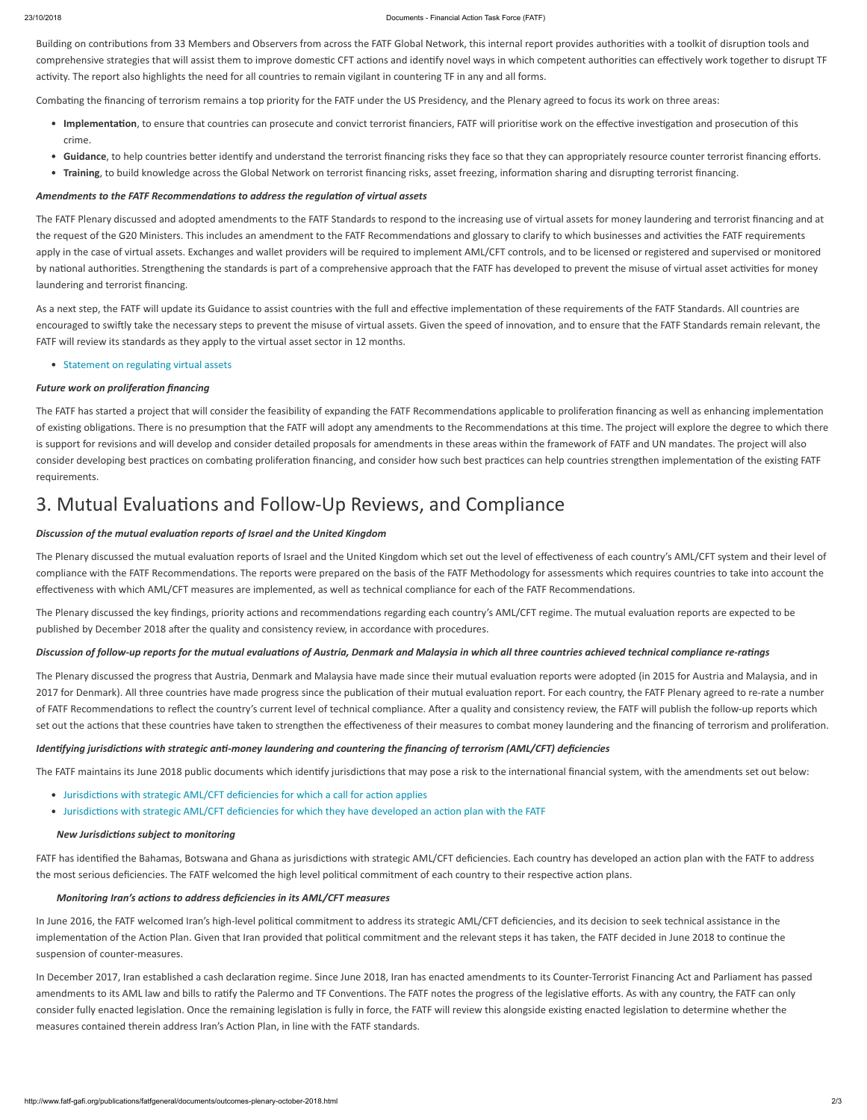#### 23/10/2018 Documents - Financial Action Task Force (FATF)

Building on contributions from 33 Members and Observers from across the FATF Global Network, this internal report provides authorities with a toolkit of disruption tools and comprehensive strategies that will assist them to improve domestic CFT actions and identify novel ways in which competent authorities can effectively work together to disrupt TF activity. The report also highlights the need for all countries to remain vigilant in countering TF in any and all forms.

Combating the financing of terrorism remains a top priority for the FATF under the US Presidency, and the Plenary agreed to focus its work on three areas:

- Implementation, to ensure that countries can prosecute and convict terrorist financiers, FATF will prioritise work on the effective investigation and prosecution of this crime.
- Guidance, to help countries better identify and understand the terrorist financing risks they face so that they can appropriately resource counter terrorist financing efforts.
- Training, to build knowledge across the Global Network on terrorist financing risks, asset freezing, information sharing and disrupting terrorist financing.

#### Amendments to the FATF Recommendations to address the regulation of virtual assets

As a next step, the FATF will update its Guidance to assist countries with the full and effective implementation of these requirements of the FATF Standards. All countries are encouraged to swiftly take the necessary steps to prevent the misuse of virtual assets. Given the speed of innovation, and to ensure that the FATF Standards remain relevant, the FATF will review its standards as they apply to the virtual asset sector in 12 months.

#### • Statement on regulating virtual assets

#### **Future work on proliferation financing**

The FATF has started a project that will consider the feasibility of expanding the FATF Recommendations applicable to proliferation financing as well as enhancing implementation of existing obligations. There is no presumption that the FATF will adopt any amendments to the Recommendations at this time. The project will explore the degree to which there is support for revisions and will develop and consider detailed proposals for amendments in these areas within the framework of FATF and UN mandates. The project will also consider developing best practices on combating proliferation financing, and consider how such best practices can help countries strengthen implementation of the existing FATF requirements.

### <span id="page-1-0"></span>3. Mutual Evaluations and Follow-Up Reviews, and Compliance

#### **Discussion of the mutual evaluation reports of Israel and the United Kingdom**

The Plenary discussed the mutual evaluation reports of Israel and the United Kingdom which set out the level of effectiveness of each country's AML/CFT system and their level of compliance with the FATF Recommendations. The reports were prepared on the basis of the FATF Methodology for assessments which requires countries to take into account the effectiveness with which AML/CFT measures are implemented, as well as technical compliance for each of the FATF Recommendations.

The Plenary discussed the key findings, priority actions and recommendations regarding each country's AML/CFT regime. The mutual evaluation reports are expected to be published by December 2018 after the quality and consistency review, in accordance with procedures.

### Discussion of follow-up reports for the mutual evaluations of Austria, Denmark and Malaysia in which all three countries achieved technical compliance re-ratings

The Plenary discussed the progress that Austria, Denmark and Malaysia have made since their mutual evaluation reports were adopted (in 2015 for Austria and Malaysia, and in 2017 for Denmark). All three countries have made progress since the publication of their mutual evaluation report. For each country, the FATF Plenary agreed to re-rate a number of FATF Recommendations to reflect the country's current level of technical compliance. After a quality and consistency review, the FATF will publish the follow-up reports which set out the actions that these countries have taken to strengthen the effectiveness of their measures to combat money laundering and the financing of terrorism and proliferation.

#### *Identifying jurisdictions with strategic anti-money laundering and countering the financing of terrorism (AML/CFT) deficiencies*

The FATF maintains its June 2018 public documents which identify jurisdictions that may pose a risk to the international financial system, with the amendments set out below:

- Jurisdictions with strategic AML/CFT deficiencies for which a call for action applies
- Jurisdictions with strategic AML/CFT deficiencies for which they have developed an action plan with the FATF

The FATF Plenary discussed and adopted amendments to the FATF Standards to respond to the increasing use of virtual assets for money laundering and terrorist financing and at the request of the G20 Ministers. This includes an amendment to the FATF Recommendations and glossary to clarify to which businesses and activities the FATF requirements apply in the case of virtual assets. Exchanges and wallet providers will be required to implement AML/CFT controls, and to be licensed or registered and supervised or monitored by national authorities. Strengthening the standards is part of a comprehensive approach that the FATF has developed to prevent the misuse of virtual asset activities for money laundering and terrorist financing.

In June 2016, the FATF welcomed Iran's high-level political commitment to address its strategic AML/CFT deficiencies, and its decision to seek technical assistance in the implementation of the Action Plan. Given that Iran provided that political commitment and the relevant steps it has taken, the FATF decided in June 2018 to continue the suspension of counter-measures.

In December 2017, Iran established a cash declaration regime. Since June 2018, Iran has enacted amendments to its Counter-Terrorist Financing Act and Parliament has passed amendments to its AML law and bills to ratify the Palermo and TF Conventions. The FATF notes the progress of the legislative efforts. As with any country, the FATF can only consider fully enacted legislation. Once the remaining legislation is fully in force, the FATF will review this alongside existing enacted legislation to determine whether the measures contained therein address Iran's Action Plan, in line with the FATF standards.

#### *New Jurisdicons subject to monitoring*

FATF has identified the Bahamas, Botswana and Ghana as jurisdictions with strategic AML/CFT deficiencies. Each country has developed an action plan with the FATF to address the most serious deficiencies. The FATF welcomed the high level political commitment of each country to their respective action plans.

#### *Monitoring Iran's actions to address deficiencies in its AML/CFT measures*